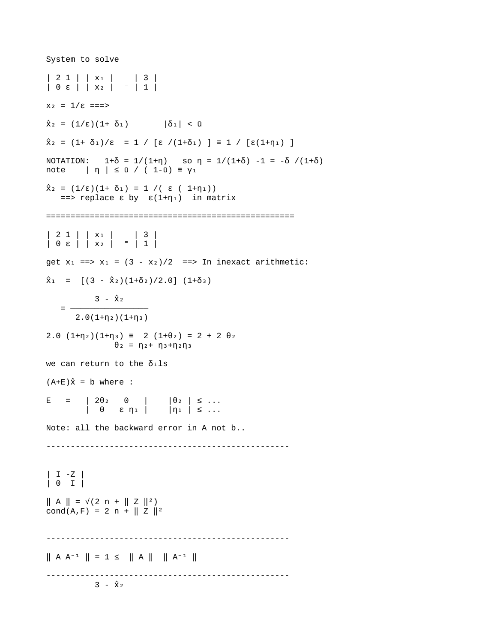```
System to solve
| 2 1 | | x_1 | | 3 || 0 \t{i} | 1 \t{j} | 1 | 0 \t{j} | 1 \t{k} | 1 \t{k} | 1 \t{k} | 1 \t{k} | 1 \t{k} | 1 \t{k} | 1 \t{k} | 1 \t{k} | 1 \t{k} | 1 \t{k} | 1 \t{k} | 1 \t{k} | 1 \t{k} | 1 \t{k} | 1 \t{k} | 1 \t{k} | 1 \t{k} | 1 \t{k} | 1 \t{k} | 1 \t{k} | 1 \t{k} | 1 \t{k} | 1 \t{k} | 1 \t{k} | 1 \t{k} | 1 \t{k} | 1 \t{k} | 1 \x_2 = 1/\epsilon ===>
\hat{\chi}_2 = (1/\epsilon)(1+\delta_1) |\delta_1| < 0\hat{X}_2 = (1 + \delta_1)/\epsilon = 1 / [\epsilon / (1 + \delta_1)] = 1 / [\epsilon (1 + \eta_1)]NOTATION: 1+\delta = 1/(1+\eta) so \eta = 1/(1+\delta) -1 = -δ /(1+δ)
note | \eta | \leq \bar{u} / (1 - \bar{u}) = v_1\hat{\chi}_2 = (1/\epsilon)(1+\delta_1) = 1 / ( \epsilon (1+\eta_1))\equiv > replace ε by \varepsilon(1+\eta_1) in matrix
===================================================
| 2 1 | | x_1 | | 3 || 0 \t{i} | 1 \t{j} | 1 \t{k}get x_1 == > x_1 = (3 - x_2)/2 == > In in exact arithmetic:
\hat{x}_1 = [(3 - \hat{x}_2)(1+\delta_2)/2.0] (1+\delta_3)
               3 - \hat{X}_2= -2.0(1+\eta_2)(1+\eta_3)2.0 (1+\eta_2)(1+\eta_3) = 2 (1+\theta_2) = 2 + 2 \theta_2\theta_2 = \eta_2 + \eta_3 + \eta_2 \eta_3we can return to the \delta_ils
(A+E)\hat{x} = b where :
E = | 2\theta_2 \ 0 | | \theta_2 | \le ...| 0 \t E \t n_1 | | n_1 | \t \le ...Note: all the backward error in A not b..
--------------------------------------------------
| I -Z |
| 0 1 \| A \| = \sqrt{2} n + \| Z \|^{2}cond(A, F) = 2 n + \| Z \|<sup>2</sup>
--------------------------------------------------
\| A A<sup>-1</sup> \| = 1 ≤ \| A \| \| A<sup>-1</sup> \|--------------------------------------------------
                3 - \hat{X}_2
```